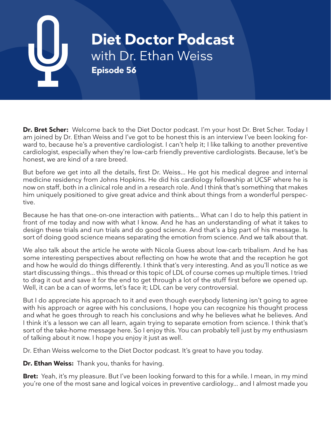# **Diet Doctor Podcast** with Dr. Ethan Weiss **Episode 56**

**Dr. Bret Scher:** Welcome back to the Diet Doctor podcast. I'm your host Dr. Bret Scher. Today I am joined by Dr. Ethan Weiss and I've got to be honest this is an interview I've been looking forward to, because he's a preventive cardiologist. I can't help it; I like talking to another preventive cardiologist, especially when they're low-carb friendly preventive cardiologists. Because, let's be honest, we are kind of a rare breed.

But before we get into all the details, first Dr. Weiss... He got his medical degree and internal medicine residency from Johns Hopkins. He did his cardiology fellowship at UCSF where he is now on staff, both in a clinical role and in a research role. And I think that's something that makes him uniquely positioned to give great advice and think about things from a wonderful perspective.

Because he has that one-on-one interaction with patients... What can I do to help this patient in front of me today and now with what I know. And he has an understanding of what it takes to design these trials and run trials and do good science. And that's a big part of his message. Is sort of doing good science means separating the emotion from science. And we talk about that.

We also talk about the article he wrote with Nicola Guess about low-carb tribalism. And he has some interesting perspectives about reflecting on how he wrote that and the reception he got and how he would do things differently. I think that's very interesting. And as you'll notice as we start discussing things... this thread or this topic of LDL of course comes up multiple times. I tried to drag it out and save it for the end to get through a lot of the stuff first before we opened up. Well, it can be a can of worms, let's face it; LDL can be very controversial.

But I do appreciate his approach to it and even though everybody listening isn't going to agree with his approach or agree with his conclusions, I hope you can recognize his thought process and what he goes through to reach his conclusions and why he believes what he believes. And I think it's a lesson we can all learn, again trying to separate emotion from science. I think that's sort of the take-home message here. So I enjoy this. You can probably tell just by my enthusiasm of talking about it now. I hope you enjoy it just as well.

Dr. Ethan Weiss welcome to the Diet Doctor podcast. It's great to have you today.

**Dr. Ethan Weiss:** Thank you, thanks for having.

**Bret:** Yeah, it's my pleasure. But I've been looking forward to this for a while. I mean, in my mind you're one of the most sane and logical voices in preventive cardiology... and I almost made you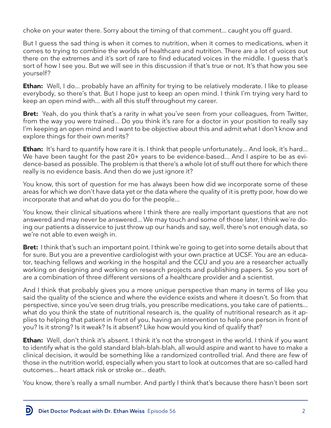choke on your water there. Sorry about the timing of that comment... caught you off guard.

But I guess the sad thing is when it comes to nutrition, when it comes to medications, when it comes to trying to combine the worlds of healthcare and nutrition. There are a lot of voices out there on the extremes and it's sort of rare to find educated voices in the middle. I guess that's sort of how I see you. But we will see in this discussion if that's true or not. It's that how you see yourself?

**Ethan:** Well, I do... probably have an affinity for trying to be relatively moderate. I like to please everybody, so there's that. But I hope just to keep an open mind. I think I'm trying very hard to keep an open mind with... with all this stuff throughout my career.

**Bret:** Yeah, do you think that's a rarity in what you've seen from your colleagues, from Twitter, from the way you were trained... Do you think it's rare for a doctor in your position to really say I'm keeping an open mind and I want to be objective about this and admit what I don't know and explore things for their own merits?

**Ethan:** It's hard to quantify how rare it is. I think that people unfortunately... And look, it's hard... We have been taught for the past 20+ years to be evidence-based... And I aspire to be as evidence-based as possible. The problem is that there's a whole lot of stuff out there for which there really is no evidence basis. And then do we just ignore it?

You know, this sort of question for me has always been how did we incorporate some of these areas for which we don't have data yet or the data where the quality of it is pretty poor, how do we incorporate that and what do you do for the people...

You know, their clinical situations where I think there are really important questions that are not answered and may never be answered... We may touch and some of those later, I think we're doing our patients a disservice to just throw up our hands and say, well, there's not enough data, so we're not able to even weigh in.

**Bret:** I think that's such an important point. I think we're going to get into some details about that for sure. But you are a preventive cardiologist with your own practice at UCSF. You are an educator, teaching fellows and working in the hospital and the CCU and you are a researcher actually working on designing and working on research projects and publishing papers. So you sort of are a combination of three different versions of a healthcare provider and a scientist.

And I think that probably gives you a more unique perspective than many in terms of like you said the quality of the science and where the evidence exists and where it doesn't. So from that perspective, since you've seen drug trials, you prescribe medications, you take care of patients... what do you think the state of nutritional research is, the quality of nutritional research as it applies to helping that patient in front of you, having an intervention to help one person in front of you? Is it strong? Is it weak? Is it absent? Like how would you kind of qualify that?

**Ethan:** Well, don't think it's absent. I think it's not the strongest in the world. I think if you want to identify what is the gold standard blah-blah-blah, all would aspire and want to have to make a clinical decision, it would be something like a randomized controlled trial. And there are few of those in the nutrition world, especially when you start to look at outcomes that are so-called hard outcomes... heart attack risk or stroke or... death.

You know, there's really a small number. And partly I think that's because there hasn't been sort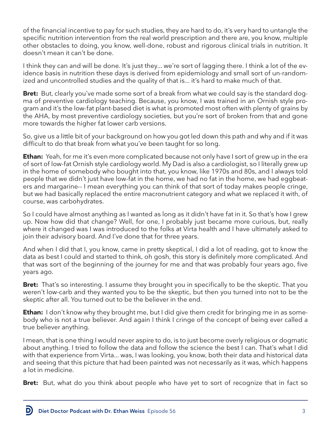of the financial incentive to pay for such studies, they are hard to do, it's very hard to untangle the specific nutrition intervention from the real world prescription and there are, you know, multiple other obstacles to doing, you know, well-done, robust and rigorous clinical trials in nutrition. It doesn't mean it can't be done.

I think they can and will be done. It's just they... we're sort of lagging there. I think a lot of the evidence basis in nutrition these days is derived from epidemiology and small sort of un-randomized and uncontrolled studies and the quality of that is... it's hard to make much of that.

**Bret:** But, clearly you've made some sort of a break from what we could say is the standard dogma of preventive cardiology teaching. Because, you know, I was trained in an Ornish style program and it's the low-fat plant-based diet is what is promoted most often with plenty of grains by the AHA, by most preventive cardiology societies, but you're sort of broken from that and gone more towards the higher fat lower carb versions.

So, give us a little bit of your background on how you got led down this path and why and if it was difficult to do that break from what you've been taught for so long.

**Ethan:** Yeah, for me it's even more complicated because not only have I sort of grew up in the era of sort of low-fat Ornish style cardiology world. My Dad is also a cardiologist, so I literally grew up in the home of somebody who bought into that, you know, like 1970s and 80s, and I always told people that we didn't just have low-fat in the home, we had no fat in the home, we had eggbeaters and margarine-- I mean everything you can think of that sort of today makes people cringe, but we had basically replaced the entire macronutrient category and what we replaced it with, of course, was carbohydrates.

So I could have almost anything as I wanted as long as it didn't have fat in it. So that's how I grew up. Now how did that change? Well, for one, I probably just became more curious, but, really where it changed was I was introduced to the folks at Virta health and I have ultimately asked to join their advisory board. And I've done that for three years.

And when I did that I, you know, came in pretty skeptical, I did a lot of reading, got to know the data as best I could and started to think, oh gosh, this story is definitely more complicated. And that was sort of the beginning of the journey for me and that was probably four years ago, five years ago.

**Bret:** That's so interesting. I assume they brought you in specifically to be the skeptic. That you weren't low-carb and they wanted you to be the skeptic, but then you turned into not to be the skeptic after all. You turned out to be the believer in the end.

**Ethan:** I don't know why they brought me, but I did give them credit for bringing me in as somebody who is not a true believer. And again I think I cringe of the concept of being ever called a true believer anything.

I mean, that is one thing I would never aspire to do, is to just become overly religious or dogmatic about anything. I tried to follow the data and follow the science the best I can. That's what I did with that experience from Virta... was, I was looking, you know, both their data and historical data and seeing that this picture that had been painted was not necessarily as it was, which happens a lot in medicine.

**Bret:** But, what do you think about people who have yet to sort of recognize that in fact so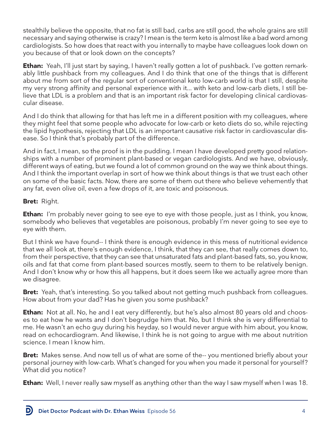stealthily believe the opposite, that no fat is still bad, carbs are still good, the whole grains are still necessary and saying otherwise is crazy? I mean is the term keto is almost like a bad word among cardiologists. So how does that react with you internally to maybe have colleagues look down on you because of that or look down on the concepts?

**Ethan:** Yeah, I'll just start by saying, I haven't really gotten a lot of pushback. I've gotten remarkably little pushback from my colleagues. And I do think that one of the things that is different about me from sort of the regular sort of conventional keto low-carb world is that I still, despite my very strong affinity and personal experience with it... with keto and low-carb diets, I still believe that LDL is a problem and that is an important risk factor for developing clinical cardiovascular disease.

And I do think that allowing for that has left me in a different position with my colleagues, where they might feel that some people who advocate for low-carb or keto diets do so, while rejecting the lipid hypothesis, rejecting that LDL is an important causative risk factor in cardiovascular disease. So I think that's probably part of the difference.

And in fact, I mean, so the proof is in the pudding. I mean I have developed pretty good relationships with a number of prominent plant-based or vegan cardiologists. And we have, obviously, different ways of eating, but we found a lot of common ground on the way we think about things. And I think the important overlap in sort of how we think about things is that we trust each other on some of the basic facts. Now, there are some of them out there who believe vehemently that any fat, even olive oil, even a few drops of it, are toxic and poisonous.

## **Bret:** Right.

**Ethan:** I'm probably never going to see eye to eye with those people, just as I think, you know, somebody who believes that vegetables are poisonous, probably I'm never going to see eye to eye with them.

But I think we have found-- I think there is enough evidence in this mess of nutritional evidence that we all look at, there's enough evidence, I think, that they can see, that really comes down to, from their perspective, that they can see that unsaturated fats and plant-based fats, so, you know, oils and fat that come from plant-based sources mostly, seem to them to be relatively benign. And I don't know why or how this all happens, but it does seem like we actually agree more than we disagree.

**Bret:** Yeah, that's interesting. So you talked about not getting much pushback from colleagues. How about from your dad? Has he given you some pushback?

**Ethan:** Not at all. No, he and I eat very differently, but he's also almost 80 years old and chooses to eat how he wants and I don't begrudge him that. No, but I think she is very differential to me. He wasn't an echo guy during his heyday, so I would never argue with him about, you know, read on echocardiogram. And likewise, I think he is not going to argue with me about nutrition science. I mean I know him.

**Bret:** Makes sense. And now tell us of what are some of the-- you mentioned briefly about your personal journey with low-carb. What's changed for you when you made it personal for yourself? What did you notice?

**Ethan:** Well, I never really saw myself as anything other than the way I saw myself when I was 18.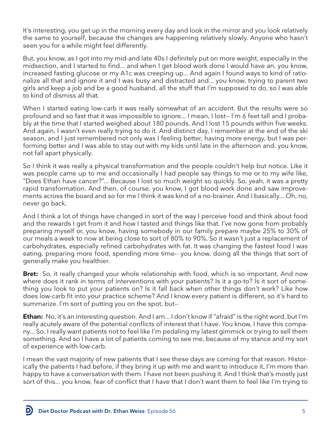It's interesting, you get up in the morning every day and look in the mirror and you look relatively the same to yourself, because the changes are happening relatively slowly. Anyone who hasn't seen you for a while might feel differently.

But, you know, as I got into my mid-and late 40s I definitely put on more weight, especially in the midsection, and I started to find... and when I get blood work done I would have an, you know, increased fasting glucose or my A1c was creeping up... And again I found ways to kind of rationalize all that and ignore it and I was busy and distracted and... you know, trying to parent two girls and keep a job and be a good husband, all the stuff that I'm supposed to do, so I was able to kind of dismiss all that.

When I started eating low-carb it was really somewhat of an accident. But the results were so profound and so fast that it was impossible to ignore... I mean, I lost-- I'm 6 feet tall and I probably at the time that I started weighed about 180 pounds. And I lost 15 pounds within five weeks. And again, I wasn't even really trying to do it. And distinct day, I remember at the end of the ski season, and I just remembered not only was I feeling better, having more energy, but I was performing better and I was able to stay out with my kids until late in the afternoon and, you know, not fall apart physically.

So I think it was really a physical transformation and the people couldn't help but notice. Like it was people came up to me and occasionally I had people say things to me or to my wife like, "Does Ethan have cancer?"... Because I lost so much weight so quickly. So, yeah, it was a pretty rapid transformation. And then, of course, you know, I got blood work done and saw improvements across the board and so for me I think it was kind of a no-brainer. And I basically... Oh, no, never go back.

And I think a lot of things have changed in sort of the way I perceive food and think about food and the rewards I get from it and how I tasted and things like that. I've now gone from probably preparing myself or, you know, having somebody in our family prepare maybe 25% to 30% of our meals a week to now at being close to sort of 80% to 90%. So it wasn't just a replacement of carbohydrates, especially refined carbohydrates with fat. It was changing the fastest food I was eating, preparing more food, spending more time-- you know, doing all the things that sort of generally make you healthier.

**Bret:** So, it really changed your whole relationship with food, which is so important. And now where does it rank in terms of interventions with your patients? Is it a go-to? Is it sort of something you look to put your patients on? Is it fall back when other things don't work? Like how does low-carb fit into your practice scheme? And I know every patient is different, so it's hard to summarize. I'm sort of putting you on the spot, but--

**Ethan:** No, it's an interesting question. And I am... I don't know if "afraid" is the right word, but I'm really acutely aware of the potential conflicts of interest that I have. You know, I have this company... So, I really want patients not to feel like I'm pedaling my latest gimmick or trying to sell them something. And so I have a lot of patients coming to see me, because of my stance and my sort of experience with low-carb.

I mean the vast majority of new patients that I see these days are coming for that reason. Historically the patients I had before, if they bring it up with me and want to introduce it, I'm more than happy to have a conversation with them. I have not been pushing it. And I think that's mostly just sort of this... you know, fear of conflict that I have that I don't want them to feel like I'm trying to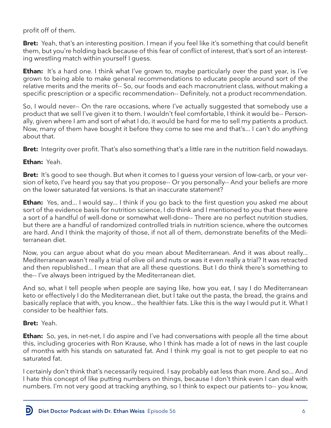## profit off of them.

**Bret:** Yeah, that's an interesting position. I mean if you feel like it's something that could benefit them, but you're holding back because of this fear of conflict of interest, that's sort of an interesting wrestling match within yourself I guess.

**Ethan:** It's a hard one. I think what I've grown to, maybe particularly over the past year, is I've grown to being able to make general recommendations to educate people around sort of the relative merits and the merits of-- So, our foods and each macronutrient class, without making a specific prescription or a specific recommendation-- Definitely, not a product recommendation.

So, I would never-- On the rare occasions, where I've actually suggested that somebody use a product that we sell I've given it to them. I wouldn't feel comfortable, I think it would be-- Personally, given where I am and sort of what I do, it would be hard for me to sell my patients a product. Now, many of them have bought it before they come to see me and that's... I can't do anything about that.

**Bret:** Integrity over profit. That's also something that's a little rare in the nutrition field nowadays.

#### **Ethan:** Yeah.

**Bret:** It's good to see though. But when it comes to I guess your version of low-carb, or your version of keto, I've heard you say that you propose-- Or you personally-- And your beliefs are more on the lower saturated fat versions. Is that an inaccurate statement?

**Ethan:** Yes, and... I would say... I think if you go back to the first question you asked me about sort of the evidence basis for nutrition science, I do think and I mentioned to you that there were a sort of a handful of well-done or somewhat well-done-- There are no perfect nutrition studies, but there are a handful of randomized controlled trials in nutrition science, where the outcomes are hard. And I think the majority of those, if not all of them, demonstrate benefits of the Mediterranean diet.

Now, you can argue about what do you mean about Mediterranean. And it was about really... Mediterranean wasn't really a trial of olive oil and nuts or was it even really a trial? It was retracted and then republished... I mean that are all these questions. But I do think there's something to the-- I've always been intrigued by the Mediterranean diet.

And so, what I tell people when people are saying like, how you eat, I say I do Mediterranean keto or effectively I do the Mediterranean diet, but I take out the pasta, the bread, the grains and basically replace that with, you know... the healthier fats. Like this is the way I would put it. What I consider to be healthier fats.

#### **Bret:** Yeah.

D

**Ethan:** So, yes, in net-net, I do aspire and I've had conversations with people all the time about this, including groceries with Ron Krause, who I think has made a lot of news in the last couple of months with his stands on saturated fat. And I think my goal is not to get people to eat no saturated fat.

I certainly don't think that's necessarily required. I say probably eat less than more. And so... And I hate this concept of like putting numbers on things, because I don't think even I can deal with numbers. I'm not very good at tracking anything, so I think to expect our patients to-- you know,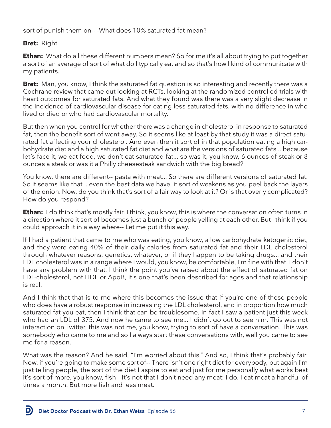sort of punish them on--- What does 10% saturated fat mean?

# **Bret:** Right.

**Ethan:** What do all these different numbers mean? So for me it's all about trying to put together a sort of an average of sort of what do I typically eat and so that's how I kind of communicate with my patients.

**Bret:** Man, you know, I think the saturated fat question is so interesting and recently there was a Cochrane review that came out looking at RCTs, looking at the randomized controlled trials with heart outcomes for saturated fats. And what they found was there was a very slight decrease in the incidence of cardiovascular disease for eating less saturated fats, with no difference in who lived or died or who had cardiovascular mortality.

But then when you control for whether there was a change in cholesterol in response to saturated fat, then the benefit sort of went away. So it seems like at least by that study it was a direct saturated fat affecting your cholesterol. And even then it sort of in that population eating a high carbohydrate diet and a high saturated fat diet and what are the versions of saturated fats... because let's face it, we eat food, we don't eat saturated fat... so was it, you know, 6 ounces of steak or 8 ounces a steak or was it a Philly cheesesteak sandwich with the big bread?

You know, there are different-- pasta with meat... So there are different versions of saturated fat. So it seems like that... even the best data we have, it sort of weakens as you peel back the layers of the onion. Now, do you think that's sort of a fair way to look at it? Or is that overly complicated? How do you respond?

**Ethan:** I do think that's mostly fair. I think, you know, this is where the conversation often turns in a direction where it sort of becomes just a bunch of people yelling at each other. But I think if you could approach it in a way where-- Let me put it this way.

If I had a patient that came to me who was eating, you know, a low carbohydrate ketogenic diet, and they were eating 40% of their daily calories from saturated fat and their LDL cholesterol through whatever reasons, genetics, whatever, or if they happen to be taking drugs... and their LDL cholesterol was in a range where I would, you know, be comfortable, I'm fine with that. I don't have any problem with that. I think the point you've raised about the effect of saturated fat on LDL-cholesterol, not HDL or ApoB, it's one that's been described for ages and that relationship is real.

And I think that that is to me where this becomes the issue that if you're one of these people who does have a robust response in increasing the LDL cholesterol, and in proportion how much saturated fat you eat, then I think that can be troublesome. In fact I saw a patient just this week who had an LDL of 375. And now he came to see me... I didn't go out to see him. This was not interaction on Twitter, this was not me, you know, trying to sort of have a conversation. This was somebody who came to me and so I always start these conversations with, well you came to see me for a reason.

What was the reason? And he said, "I'm worried about this." And so, I think that's probably fair. Now, if you're going to make some sort of-- There isn't one right diet for everybody, but again I'm just telling people, the sort of the diet I aspire to eat and just for me personally what works best it's sort of more, you know, fish-- It's not that I don't need any meat; I do. I eat meat a handful of times a month. But more fish and less meat.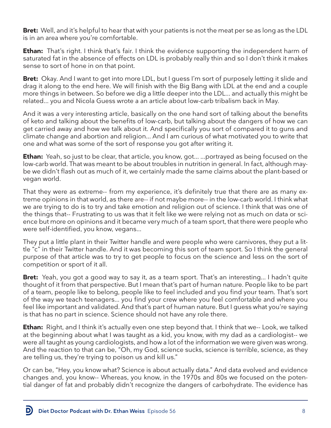**Bret:** Well, and it's helpful to hear that with your patients is not the meat per se as long as the LDL is in an area where you're comfortable.

**Ethan:** That's right. I think that's fair. I think the evidence supporting the independent harm of saturated fat in the absence of effects on LDL is probably really thin and so I don't think it makes sense to sort of hone in on that point.

**Bret:** Okay. And I want to get into more LDL, but I guess I'm sort of purposely letting it slide and drag it along to the end here. We will finish with the Big Bang with LDL at the end and a couple more things in between. So before we dig a little deeper into the LDL... and actually this might be related... you and Nicola Guess wrote a an article about low-carb tribalism back in May.

And it was a very interesting article, basically on the one hand sort of talking about the benefits of keto and talking about the benefits of low-carb, but talking about the dangers of how we can get carried away and how we talk about it. And specifically you sort of compared it to guns and climate change and abortion and religion... And I am curious of what motivated you to write that one and what was some of the sort of response you got after writing it.

**Ethan:** Yeah, so just to be clear, that article, you know, got... ...portrayed as being focused on the low-carb world. That was meant to be about troubles in nutrition in general. In fact, although maybe we didn't flash out as much of it, we certainly made the same claims about the plant-based or vegan world.

That they were as extreme-- from my experience, it's definitely true that there are as many extreme opinions in that world, as there are-- if not maybe more-- in the low-carb world. I think what we are trying to do is to try and take emotion and religion out of science. I think that was one of the things that-- Frustrating to us was that it felt like we were relying not as much on data or science but more on opinions and it became very much of a team sport, that there were people who were self-identified, you know, vegans...

They put a little plant in their Twitter handle and were people who were carnivores, they put a little "c" in their Twitter handle. And it was becoming this sort of team sport. So I think the general purpose of that article was to try to get people to focus on the science and less on the sort of competition or sport of it all.

**Bret:** Yeah, you got a good way to say it, as a team sport. That's an interesting... I hadn't quite thought of it from that perspective. But I mean that's part of human nature. People like to be part of a team, people like to belong, people like to feel included and you find your team. That's sort of the way we teach teenagers... you find your crew where you feel comfortable and where you feel like important and validated. And that's part of human nature. But I guess what you're saying is that has no part in science. Science should not have any role there.

**Ethan:** Right, and I think it's actually even one step beyond that. I think that we-- Look, we talked at the beginning about what I was taught as a kid, you know, with my dad as a cardiologist-- we were all taught as young cardiologists, and how a lot of the information we were given was wrong. And the reaction to that can be, "Oh, my God, science sucks, science is terrible, science, as they are telling us, they're trying to poison us and kill us."

Or can be, "Hey, you know what? Science is about actually data." And data evolved and evidence changes and, you know-- Whereas, you know, in the 1970s and 80s we focused on the potential danger of fat and probably didn't recognize the dangers of carbohydrate. The evidence has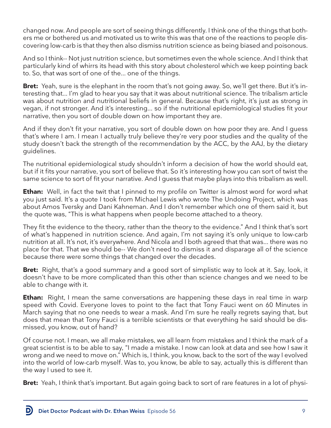changed now. And people are sort of seeing things differently. I think one of the things that bothers me or bothered us and motivated us to write this was that one of the reactions to people discovering low-carb is that they then also dismiss nutrition science as being biased and poisonous.

And so I think-- Not just nutrition science, but sometimes even the whole science. And I think that particularly kind of whirrs its head with this story about cholesterol which we keep pointing back to. So, that was sort of one of the... one of the things.

**Bret:** Yeah, sure is the elephant in the room that's not going away. So, we'll get there. But it's interesting that... I'm glad to hear you say that it was about nutritional science. The tribalism article was about nutrition and nutritional beliefs in general. Because that's right, it's just as strong in vegan, if not stronger. And it's interesting... so if the nutritional epidemiological studies fit your narrative, then you sort of double down on how important they are.

And if they don't fit your narrative, you sort of double down on how poor they are. And I guess that's where I am. I mean I actually truly believe they're very poor studies and the quality of the study doesn't back the strength of the recommendation by the ACC, by the AAJ, by the dietary guidelines.

The nutritional epidemiological study shouldn't inform a decision of how the world should eat, but if it fits your narrative, you sort of believe that. So it's interesting how you can sort of twist the same science to sort of fit your narrative. And I guess that maybe plays into this tribalism as well.

**Ethan:** Well, in fact the twit that I pinned to my profile on Twitter is almost word for word what you just said. It's a quote I took from Michael Lewis who wrote The Undoing Project, which was about Amos Tversky and Dani Kahneman. And I don't remember which one of them said it, but the quote was, "This is what happens when people become attached to a theory.

They fit the evidence to the theory, rather than the theory to the evidence." And I think that's sort of what's happened in nutrition science. And again, I'm not saying it's only unique to low-carb nutrition at all. It's not, it's everywhere. And Nicola and I both agreed that that was... there was no place for that. That we should be-- We don't need to dismiss it and disparage all of the science because there were some things that changed over the decades.

**Bret:** Right, that's a good summary and a good sort of simplistic way to look at it. Say, look, it doesn't have to be more complicated than this other than science changes and we need to be able to change with it.

**Ethan:** Right, I mean the same conversations are happening these days in real time in warp speed with Covid. Everyone loves to point to the fact that Tony Fauci went on 60 Minutes in March saying that no one needs to wear a mask. And I'm sure he really regrets saying that, but does that mean that Tony Fauci is a terrible scientists or that everything he said should be dismissed, you know, out of hand?

Of course not. I mean, we all make mistakes, we all learn from mistakes and I think the mark of a great scientist is to be able to say, "I made a mistake. I now can look at data and see how I saw it wrong and we need to move on." Which is, I think, you know, back to the sort of the way I evolved into the world of low-carb myself. Was to, you know, be able to say, actually this is different than the way I used to see it.

**Bret:** Yeah, I think that's important. But again going back to sort of rare features in a lot of physi-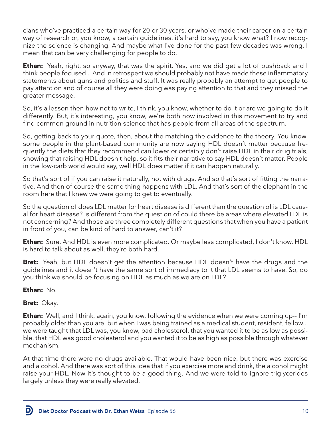cians who've practiced a certain way for 20 or 30 years, or who've made their career on a certain way of research or, you know, a certain guidelines, it's hard to say, you know what? I now recognize the science is changing. And maybe what I've done for the past few decades was wrong. I mean that can be very challenging for people to do.

**Ethan:** Yeah, right, so anyway, that was the spirit. Yes, and we did get a lot of pushback and I think people focused... And in retrospect we should probably not have made these inflammatory statements about guns and politics and stuff. It was really probably an attempt to get people to pay attention and of course all they were doing was paying attention to that and they missed the greater message.

So, it's a lesson then how not to write, I think, you know, whether to do it or are we going to do it differently. But, it's interesting, you know, we're both now involved in this movement to try and find common ground in nutrition science that has people from all areas of the spectrum.

So, getting back to your quote, then, about the matching the evidence to the theory. You know, some people in the plant-based community are now saying HDL doesn't matter because frequently the diets that they recommend can lower or certainly don't raise HDL in their drug trials, showing that raising HDL doesn't help, so it fits their narrative to say HDL doesn't matter. People in the low-carb world would say, well HDL does matter if it can happen naturally.

So that's sort of if you can raise it naturally, not with drugs. And so that's sort of fitting the narrative. And then of course the same thing happens with LDL. And that's sort of the elephant in the room here that I knew we were going to get to eventually.

So the question of does LDL matter for heart disease is different than the question of is LDL causal for heart disease? Is different from the question of could there be areas where elevated LDL is not concerning? And those are three completely different questions that when you have a patient in front of you, can be kind of hard to answer, can't it?

**Ethan:** Sure. And HDL is even more complicated. Or maybe less complicated, I don't know. HDL is hard to talk about as well, they're both hard.

**Bret:** Yeah, but HDL doesn't get the attention because HDL doesn't have the drugs and the guidelines and it doesn't have the same sort of immediacy to it that LDL seems to have. So, do you think we should be focusing on HDL as much as we are on LDL?

**Ethan:** No.

**Bret:** Okay.

**Ethan:** Well, and I think, again, you know, following the evidence when we were coming up-- I'm probably older than you are, but when I was being trained as a medical student, resident, fellow... we were taught that LDL was, you know, bad cholesterol, that you wanted it to be as low as possible, that HDL was good cholesterol and you wanted it to be as high as possible through whatever mechanism.

At that time there were no drugs available. That would have been nice, but there was exercise and alcohol. And there was sort of this idea that if you exercise more and drink, the alcohol might raise your HDL. Now it's thought to be a good thing. And we were told to ignore triglycerides largely unless they were really elevated.

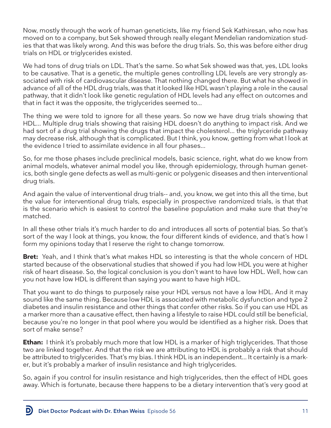Now, mostly through the work of human geneticists, like my friend Sek Kathiresan, who now has moved on to a company, but Sek showed through really elegant Mendelian randomization studies that that was likely wrong. And this was before the drug trials. So, this was before either drug trials on HDL or triglycerides existed.

We had tons of drug trials on LDL. That's the same. So what Sek showed was that, yes, LDL looks to be causative. That is a genetic, the multiple genes controlling LDL levels are very strongly associated with risk of cardiovascular disease. That nothing changed there. But what he showed in advance of all of the HDL drug trials, was that it looked like HDL wasn't playing a role in the causal pathway, that it didn't look like genetic regulation of HDL levels had any effect on outcomes and that in fact it was the opposite, the triglycerides seemed to...

The thing we were told to ignore for all these years. So now we have drug trials showing that HDL... Multiple drug trials showing that raising HDL doesn't do anything to impact risk. And we had sort of a drug trial showing the drugs that impact the cholesterol... the triglyceride pathway may decrease risk, although that is complicated. But I think, you know, getting from what I look at the evidence I tried to assimilate evidence in all four phases...

So, for me those phases include preclinical models, basic science, right, what do we know from animal models, whatever animal model you like, through epidemiology, through human genetics, both single gene defects as well as multi-genic or polygenic diseases and then interventional drug trials.

And again the value of interventional drug trials-- and, you know, we get into this all the time, but the value for interventional drug trials, especially in prospective randomized trials, is that that is the scenario which is easiest to control the baseline population and make sure that they're matched.

In all these other trials it's much harder to do and introduces all sorts of potential bias. So that's sort of the way I look at things, you know, the four different kinds of evidence, and that's how I form my opinions today that I reserve the right to change tomorrow.

**Bret:** Yeah, and I think that's what makes HDL so interesting is that the whole concern of HDL started because of the observational studies that showed if you had low HDL you were at higher risk of heart disease. So, the logical conclusion is you don't want to have low HDL. Well, how can you not have low HDL is different than saying you want to have high HDL.

That you want to do things to purposely raise your HDL versus not have a low HDL. And it may sound like the same thing. Because low HDL is associated with metabolic dysfunction and type 2 diabetes and insulin resistance and other things that confer other risks. So if you can use HDL as a marker more than a causative effect, then having a lifestyle to raise HDL could still be beneficial, because you're no longer in that pool where you would be identified as a higher risk. Does that sort of make sense?

**Ethan:** I think it's probably much more that low HDL is a marker of high triglycerides. That those two are linked together. And that the risk we are attributing to HDL is probably a risk that should be attributed to triglycerides. That's my bias. I think HDL is an independent... It certainly is a marker, but it's probably a marker of insulin resistance and high triglycerides.

So, again if you control for insulin resistance and high triglycerides, then the effect of HDL goes away. Which is fortunate, because there happens to be a dietary intervention that's very good at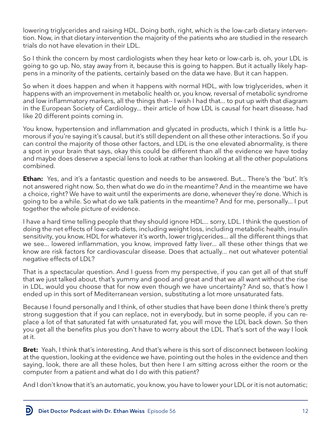lowering triglycerides and raising HDL. Doing both, right, which is the low-carb dietary intervention. Now, in that dietary intervention the majority of the patients who are studied in the research trials do not have elevation in their LDL.

So I think the concern by most cardiologists when they hear keto or low-carb is, oh, your LDL is going to go up. No, stay away from it, because this is going to happen. But it actually likely happens in a minority of the patients, certainly based on the data we have. But it can happen.

So when it does happen and when it happens with normal HDL, with low triglycerides, when it happens with an improvement in metabolic health or, you know, reversal of metabolic syndrome and low inflammatory markers, all the things that-- I wish I had that... to put up with that diagram in the European Society of Cardiology... their article of how LDL is causal for heart disease, had like 20 different points coming in.

You know, hypertension and inflammation and glycated in products, which I think is a little humorous if you're saying it's causal, but it's still dependent on all these other interactions. So if you can control the majority of those other factors, and LDL is the one elevated abnormality, is there a spot in your brain that says, okay this could be different than all the evidence we have today and maybe does deserve a special lens to look at rather than looking at all the other populations combined.

**Ethan:** Yes, and it's a fantastic question and needs to be answered. But... There's the 'but'. It's not answered right now. So, then what do we do in the meantime? And in the meantime we have a choice, right? We have to wait until the experiments are done, whenever they're done. Which is going to be a while. So what do we talk patients in the meantime? And for me, personally... I put together the whole picture of evidence.

I have a hard time telling people that they should ignore HDL... sorry, LDL. I think the question of doing the net effects of low-carb diets, including weight loss, including metabolic health, insulin sensitivity, you know, HDL for whatever it's worth, lower triglycerides... all the different things that we see... lowered inflammation, you know, improved fatty liver... all these other things that we know are risk factors for cardiovascular disease. Does that actually... net out whatever potential negative effects of LDL?

That is a spectacular question. And I guess from my perspective, if you can get all of that stuff that we just talked about, that's yummy and good and great and that we all want without the rise in LDL, would you choose that for now even though we have uncertainty? And so, that's how I ended up in this sort of Mediterranean version, substituting a lot more unsaturated fats.

Because I found personally and I think, of other studies that have been done I think there's pretty strong suggestion that if you can replace, not in everybody, but in some people, if you can replace a lot of that saturated fat with unsaturated fat, you will move the LDL back down. So then you get all the benefits plus you don't have to worry about the LDL. That's sort of the way I look at it.

**Bret:** Yeah, I think that's interesting. And that's where is this sort of disconnect between looking at the question, looking at the evidence we have, pointing out the holes in the evidence and then saying, look, there are all these holes, but then here I am sitting across either the room or the computer from a patient and what do I do with this patient?

And I don't know that it's an automatic, you know, you have to lower your LDL or it is not automatic;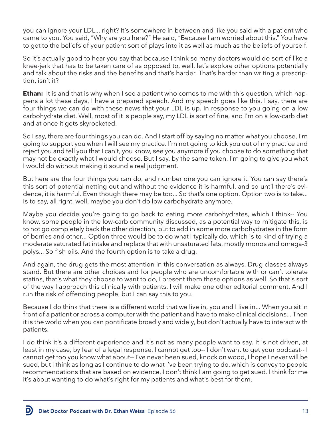you can ignore your LDL... right? It's somewhere in between and like you said with a patient who came to you. You said, "Why are you here?" He said, "Because I am worried about this." You have to get to the beliefs of your patient sort of plays into it as well as much as the beliefs of yourself.

So it's actually good to hear you say that because I think so many doctors would do sort of like a knee-jerk that has to be taken care of as opposed to, well, let's explore other options potentially and talk about the risks and the benefits and that's harder. That's harder than writing a prescription, isn't it?

**Ethan:** It is and that is why when I see a patient who comes to me with this question, which happens a lot these days, I have a prepared speech. And my speech goes like this. I say, there are four things we can do with these news that your LDL is up. In response to you going on a low carbohydrate diet. Well, most of it is people say, my LDL is sort of fine, and I'm on a low-carb diet and at once it gets skyrocketed.

So I say, there are four things you can do. And I start off by saying no matter what you choose, I'm going to support you when I will see my practice. I'm not going to kick you out of my practice and reject you and tell you that I can't, you know, see you anymore if you choose to do something that may not be exactly what I would choose. But I say, by the same token, I'm going to give you what I would do without making it sound a real judgment.

But here are the four things you can do, and number one you can ignore it. You can say there's this sort of potential netting out and without the evidence it is harmful, and so until there's evidence, it is harmful. Even though there may be too... So that's one option. Option two is to take... Is to say, all right, well, maybe you don't do low carbohydrate anymore.

Maybe you decide you're going to go back to eating more carbohydrates, which I think-- You know, some people in the low-carb community discussed, as a potential way to mitigate this, is to not go completely back the other direction, but to add in some more carbohydrates in the form of berries and other... Option three would be to do what I typically do, which is to kind of trying a moderate saturated fat intake and replace that with unsaturated fats, mostly monos and omega-3 polys... So fish oils. And the fourth option is to take a drug.

And again, the drug gets the most attention in this conversation as always. Drug classes always stand. But there are other choices and for people who are uncomfortable with or can't tolerate statins, that's what they choose to want to do, I present them these options as well. So that's sort of the way I approach this clinically with patients. I will make one other editorial comment. And I run the risk of offending people, but I can say this to you.

Because I do think that there is a different world that we live in, you and I live in... When you sit in front of a patient or across a computer with the patient and have to make clinical decisions... Then it is the world when you can pontificate broadly and widely, but don't actually have to interact with patients.

I do think it's a different experience and it's not as many people want to say. It is not driven, at least in my case, by fear of a legal response. I cannot get too-- I don't want to get your podcast-- I cannot get too you know what about-- I've never been sued, knock on wood, I hope I never will be sued, but I think as long as I continue to do what I've been trying to do, which is convey to people recommendations that are based on evidence, I don't think I am going to get sued. I think for me it's about wanting to do what's right for my patients and what's best for them.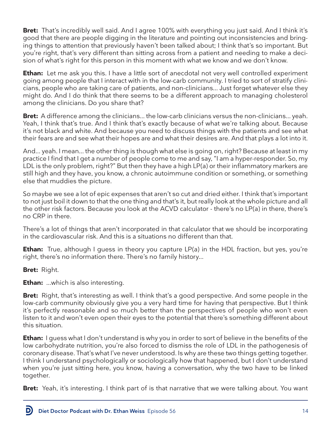**Bret:** That's incredibly well said. And I agree 100% with everything you just said. And I think it's good that there are people digging in the literature and pointing out inconsistencies and bringing things to attention that previously haven't been talked about; I think that's so important. But you're right, that's very different than sitting across from a patient and needing to make a decision of what's right for this person in this moment with what we know and we don't know.

**Ethan:** Let me ask you this. I have a little sort of anecdotal not very well controlled experiment going among people that I interact with in the low-carb community. I tried to sort of stratify clinicians, people who are taking care of patients, and non-clinicians... Just forget whatever else they might do. And I do think that there seems to be a different approach to managing cholesterol among the clinicians. Do you share that?

**Bret:** A difference among the clinicians... the low-carb clinicians versus the non-clinicians... yeah. Yeah, I think that's true. And I think that's exactly because of what we're talking about. Because it's not black and white. And because you need to discuss things with the patients and see what their fears are and see what their hopes are and what their desires are. And that plays a lot into it.

And... yeah. I mean... the other thing is though what else is going on, right? Because at least in my practice I find that I get a number of people come to me and say, "I am a hyper-responder. So, my LDL is the only problem, right?" But then they have a high LP(a) or their inflammatory markers are still high and they have, you know, a chronic autoimmune condition or something, or something else that muddies the picture.

So maybe we see a lot of epic expenses that aren't so cut and dried either. I think that's important to not just boil it down to that the one thing and that's it, but really look at the whole picture and all the other risk factors. Because you look at the ACVD calculator - there's no LP(a) in there, there's no CRP in there.

There's a lot of things that aren't incorporated in that calculator that we should be incorporating in the cardiovascular risk. And this is a situations no different than that.

**Ethan:** True, although I guess in theory you capture LP(a) in the HDL fraction, but yes, you're right, there's no information there. There's no family history...

**Bret:** Right.

**Ethan:** ...which is also interesting.

**Bret:** Right, that's interesting as well. I think that's a good perspective. And some people in the low-carb community obviously give you a very hard time for having that perspective. But I think it's perfectly reasonable and so much better than the perspectives of people who won't even listen to it and won't even open their eyes to the potential that there's something different about this situation.

**Ethan:** I guess what I don't understand is why you in order to sort of believe in the benefits of the low carbohydrate nutrition, you're also forced to dismiss the role of LDL in the pathogenesis of coronary disease. That's what I've never understood. Is why are these two things getting together. I think I understand psychologically or sociologically how that happened, but I don't understand when you're just sitting here, you know, having a conversation, why the two have to be linked together.

**Bret:** Yeah, it's interesting. I think part of is that narrative that we were talking about. You want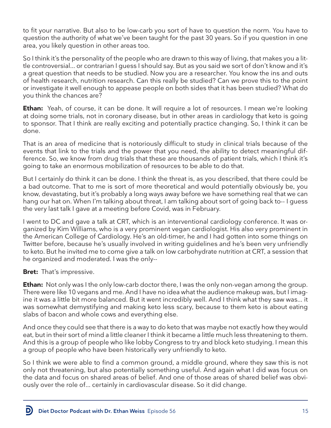to fit your narrative. But also to be low-carb you sort of have to question the norm. You have to question the authority of what we've been taught for the past 30 years. So if you question in one area, you likely question in other areas too.

So I think it's the personality of the people who are drawn to this way of living, that makes you a little controversial... or contrarian I guess I should say. But as you said we sort of don't know and it's a great question that needs to be studied. Now you are a researcher. You know the ins and outs of health research, nutrition research. Can this really be studied? Can we prove this to the point or investigate it well enough to appease people on both sides that it has been studied? What do you think the chances are?

**Ethan:** Yeah, of course, it can be done. It will require a lot of resources. I mean we're looking at doing some trials, not in coronary disease, but in other areas in cardiology that keto is going to sponsor. That I think are really exciting and potentially practice changing. So, I think it can be done.

That is an area of medicine that is notoriously difficult to study in clinical trials because of the events that link to the trials and the power that you need, the ability to detect meaningful difference. So, we know from drug trials that these are thousands of patient trials, which I think it's going to take an enormous mobilization of resources to be able to do that.

But I certainly do think it can be done. I think the threat is, as you described, that there could be a bad outcome. That to me is sort of more theoretical and would potentially obviously be, you know, devastating, but it's probably a long ways away before we have something real that we can hang our hat on. When I'm talking about threat, I am talking about sort of going back to-- I guess the very last talk I gave at a meeting before Covid, was in February.

I went to DC and gave a talk at CRT, which is an interventional cardiology conference. It was organized by Kim Williams, who is a very prominent vegan cardiologist. His also very prominent in the American College of Cardiology. He's an old-timer, he and I had gotten into some things on Twitter before, because he's usually involved in writing guidelines and he's been very unfriendly to keto. But he invited me to come give a talk on low carbohydrate nutrition at CRT, a session that he organized and moderated. I was the only--

**Bret:** That's impressive.

D

**Ethan:** Not only was I the only low-carb doctor there, I was the only non-vegan among the group. There were like 10 vegans and me. And I have no idea what the audience makeup was, but I imagine it was a little bit more balanced. But it went incredibly well. And I think what they saw was... it was somewhat demystifying and making keto less scary, because to them keto is about eating slabs of bacon and whole cows and everything else.

And once they could see that there is a way to do keto that was maybe not exactly how they would eat, but in their sort of mind a little cleaner I think it became a little much less threatening to them. And this is a group of people who like lobby Congress to try and block keto studying. I mean this a group of people who have been historically very unfriendly to keto.

So I think we were able to find a common ground, a middle ground, where they saw this is not only not threatening, but also potentially something useful. And again what I did was focus on the data and focus on shared areas of belief. And one of those areas of shared belief was obviously over the role of... certainly in cardiovascular disease. So it did change.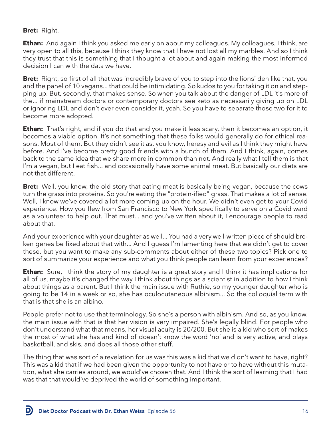#### **Bret:** Right.

**Ethan:** And again I think you asked me early on about my colleagues. My colleagues, I think, are very open to all this, because I think they know that I have not lost all my marbles. And so I think they trust that this is something that I thought a lot about and again making the most informed decision I can with the data we have.

**Bret:** Right, so first of all that was incredibly brave of you to step into the lions' den like that, you and the panel of 10 vegans... that could be intimidating. So kudos to you for taking it on and stepping up. But, secondly, that makes sense. So when you talk about the danger of LDL it's more of the... if mainstream doctors or contemporary doctors see keto as necessarily giving up on LDL or ignoring LDL and don't ever even consider it, yeah. So you have to separate those two for it to become more adopted.

**Ethan:** That's right, and if you do that and you make it less scary, then it becomes an option, it becomes a viable option. It's not something that these folks would generally do for ethical reasons. Most of them. But they didn't see it as, you know, heresy and evil as I think they might have before. And I've become pretty good friends with a bunch of them. And I think, again, comes back to the same idea that we share more in common than not. And really what I tell them is that I'm a vegan, but I eat fish... and occasionally have some animal meat. But basically our diets are not that different.

**Bret:** Well, you know, the old story that eating meat is basically being vegan, because the cows turn the grass into proteins. So you're eating the "protein-ified" grass. That makes a lot of sense. Well, I know we've covered a lot more coming up on the hour. We didn't even get to your Covid experience. How you flew from San Francisco to New York specifically to serve on a Covid ward as a volunteer to help out. That must... and you've written about it, I encourage people to read about that.

And your experience with your daughter as well... You had a very well-written piece of should broken genes be fixed about that with... And I guess I'm lamenting here that we didn't get to cover these, but you want to make any sub-comments about either of these two topics? Pick one to sort of summarize your experience and what you think people can learn from your experiences?

**Ethan:** Sure, I think the story of my daughter is a great story and I think it has implications for all of us, maybe it's changed the way I think about things as a scientist in addition to how I think about things as a parent. But I think the main issue with Ruthie, so my younger daughter who is going to be 14 in a week or so, she has oculocutaneous albinism... So the colloquial term with that is that she is an albino.

People prefer not to use that terminology. So she's a person with albinism. And so, as you know, the main issue with that is that her vision is very impaired. She's legally blind. For people who don't understand what that means, her visual acuity is 20/200. But she is a kid who sort of makes the most of what she has and kind of doesn't know the word 'no' and is very active, and plays basketball, and skis, and does all those other stuff.

The thing that was sort of a revelation for us was this was a kid that we didn't want to have, right? This was a kid that if we had been given the opportunity to not have or to have without this mutation, what she carries around, we would've chosen that. And I think the sort of learning that I had was that that would've deprived the world of something important.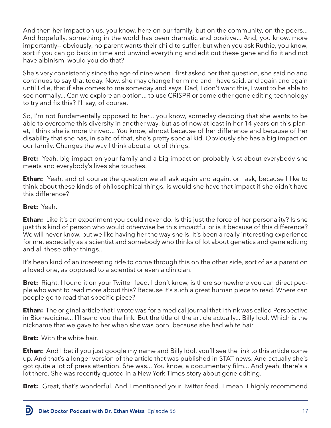And then her impact on us, you know, here on our family, but on the community, on the peers... And hopefully, something in the world has been dramatic and positive... And, you know, more importantly-- obviously, no parent wants their child to suffer, but when you ask Ruthie, you know, sort if you can go back in time and unwind everything and edit out these gene and fix it and not have albinism, would you do that?

She's very consistently since the age of nine when I first asked her that question, she said no and continues to say that today. Now, she may change her mind and I have said, and again and again until I die, that if she comes to me someday and says, Dad, I don't want this, I want to be able to see normally... Can we explore an option... to use CRISPR or some other gene editing technology to try and fix this? I'll say, of course.

So, I'm not fundamentally opposed to her... you know, someday deciding that she wants to be able to overcome this diversity in another way, but as of now at least in her 14 years on this planet, I think she is more thrived... You know, almost because of her difference and because of her disability that she has, in spite of that, she's pretty special kid. Obviously she has a big impact on our family. Changes the way I think about a lot of things.

**Bret:** Yeah, big impact on your family and a big impact on probably just about everybody she meets and everybody's lives she touches.

**Ethan:** Yeah, and of course the question we all ask again and again, or I ask, because I like to think about these kinds of philosophical things, is would she have that impact if she didn't have this difference?

**Bret:** Yeah.

**Ethan:** Like it's an experiment you could never do. Is this just the force of her personality? Is she just this kind of person who would otherwise be this impactful or is it because of this difference? We will never know, but we like having her the way she is. It's been a really interesting experience for me, especially as a scientist and somebody who thinks of lot about genetics and gene editing and all these other things...

It's been kind of an interesting ride to come through this on the other side, sort of as a parent on a loved one, as opposed to a scientist or even a clinician.

**Bret:** Right, I found it on your Twitter feed. I don't know, is there somewhere you can direct people who want to read more about this? Because it's such a great human piece to read. Where can people go to read that specific piece?

**Ethan:** The original article that I wrote was for a medical journal that I think was called Perspective in Biomedicine... I'll send you the link. But the title of the article actually... Billy Idol. Which is the nickname that we gave to her when she was born, because she had white hair.

**Bret:** With the white hair.

**Ethan:** And I bet if you just google my name and Billy Idol, you'll see the link to this article come up. And that's a longer version of the article that was published in STAT news. And actually she's got quite a lot of press attention. She was... You know, a documentary film... And yeah, there's a lot there. She was recently quoted in a New York Times story about gene editing.

**Bret:** Great, that's wonderful. And I mentioned your Twitter feed. I mean, I highly recommend